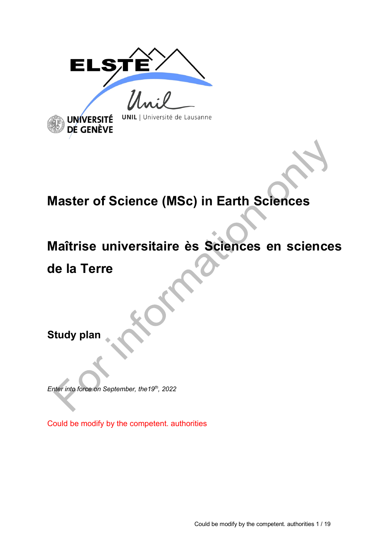

# **Master of Science (MSc) in Earth Sciences**

## **Maîtrise universitaire ès Sciences en sciences**

## **de la Terre**

**Study plan**

*Enter into force on September, the19th, 2022* 

Could be modify by the competent. authorities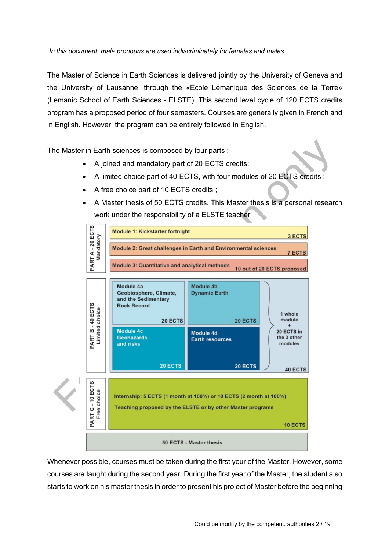*In this document, male pronouns are used indiscriminately for females and males.*

The Master of Science in Earth Sciences is delivered jointly by the University of Geneva and the University of Lausanne, through the «Ecole Lémanique des Sciences de la Terre» (Lemanic School of Earth Sciences - ELSTE). This second level cycle of 120 ECTS credits program has a proposed period of four semesters. Courses are generally given in French and in English. However, the program can be entirely followed in English.

The Master in Earth sciences is composed by four parts :

- A joined and mandatory part of 20 ECTS credits;
- A limited choice part of 40 ECTS, with four modules of 20 ECTS credits ;
- A free choice part of 10 ECTS credits ;
- A Master thesis of 50 ECTS credits. This Master thesis is a personal research work under the responsibility of a ELSTE teacher



Whenever possible, courses must be taken during the first your of the Master. However, some courses are taught during the second year. During the first year of the Master, the student also starts to work on his master thesis in order to present his project of Master before the beginning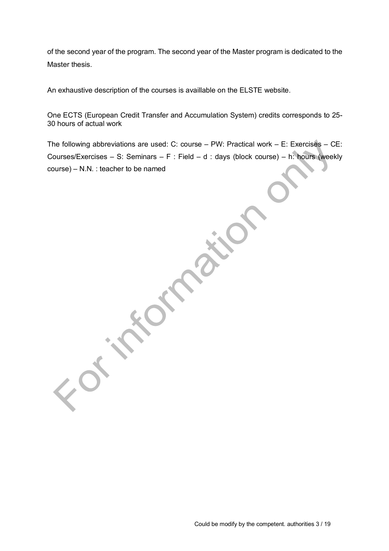of the second year of the program. The second year of the Master program is dedicated to the Master thesis.

An exhaustive description of the courses is availlable on the ELSTE website.

One ECTS (European Credit Transfer and Accumulation System) credits corresponds to 25- 30 hours of actual work

The following abbreviations are used: C: course – PW: Practical work – E: Exercises – CE: Courses/Exercises – S: Seminars – F : Field – d : days (block course) – h: hours (weekly course) – N.N. : teacher to be named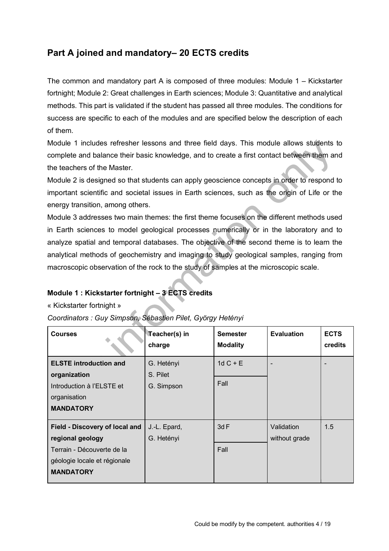## **Part A joined and mandatory– 20 ECTS credits**

The common and mandatory part A is composed of three modules: Module 1 – Kickstarter fortnight; Module 2: Great challenges in Earth sciences; Module 3: Quantitative and analytical methods. This part is validated if the student has passed all three modules. The conditions for success are specific to each of the modules and are specified below the description of each of them.

Module 1 includes refresher lessons and three field days. This module allows students to complete and balance their basic knowledge, and to create a first contact between them and the teachers of the Master.

Module 2 is designed so that students can apply geoscience concepts in order to respond to important scientific and societal issues in Earth sciences, such as the origin of Life or the energy transition, among others.

Module 3 addresses two main themes: the first theme focuses on the different methods used in Earth sciences to model geological processes numerically or in the laboratory and to analyze spatial and temporal databases. The objective of the second theme is to learn the analytical methods of geochemistry and imaging to study geological samples, ranging from macroscopic observation of the rock to the study of samples at the microscopic scale.

#### **Module 1 : Kickstarter fortnight – 3 ECTS credits**

« Kickstarter fortnight »

|  |  |  |  |  | Coordinators : Guy Simpson, Sébastien Pilet, György Hetényi |
|--|--|--|--|--|-------------------------------------------------------------|
|--|--|--|--|--|-------------------------------------------------------------|

| <b>Courses</b>                                                                                     | Teacher(s) in<br>charge | <b>Semester</b><br><b>Modality</b> | <b>Evaluation</b> | <b>ECTS</b><br>credits |
|----------------------------------------------------------------------------------------------------|-------------------------|------------------------------------|-------------------|------------------------|
| <b>ELSTE</b> introduction and<br>organization                                                      | G. Hetényi<br>S. Pilet  | $1dC + E$                          |                   |                        |
| Introduction à l'ELSTE et<br>organisation<br><b>MANDATORY</b>                                      | G. Simpson              | Fall                               |                   |                        |
| Field - Discovery of local and                                                                     | J.-L. Epard,            | 3dF                                | Validation        | 1.5                    |
| regional geology<br>Terrain - Découverte de la<br>géologie locale et régionale<br><b>MANDATORY</b> | G. Hetényi              | Fall                               | without grade     |                        |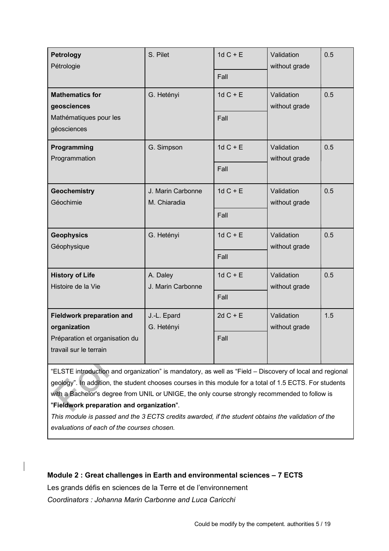| <b>Petrology</b><br>Pétrologie   | S. Pilet          | $1dC + E$ | Validation<br>without grade | 0.5 |
|----------------------------------|-------------------|-----------|-----------------------------|-----|
|                                  |                   | Fall      |                             |     |
| <b>Mathematics for</b>           | G. Hetényi        | $1dC + E$ | Validation                  | 0.5 |
| geosciences                      |                   |           | without grade               |     |
| Mathématiques pour les           |                   | Fall      |                             |     |
| géosciences                      |                   |           |                             |     |
| Programming<br>Programmation     | G. Simpson        | $1dC + E$ | Validation<br>without grade | 0.5 |
|                                  |                   | Fall      |                             |     |
| <b>Geochemistry</b>              | J. Marin Carbonne | $1dC + E$ | Validation                  | 0.5 |
| Géochimie                        | M. Chiaradia      |           | without grade               |     |
|                                  |                   | Fall      |                             |     |
| <b>Geophysics</b>                | G. Hetényi        | $1dC + E$ | Validation                  | 0.5 |
| Géophysique                      |                   |           | without grade               |     |
|                                  |                   | Fall      |                             |     |
| <b>History of Life</b>           | A. Daley          | $1dC + E$ | Validation                  | 0.5 |
| Histoire de la Vie               | J. Marin Carbonne |           | without grade               |     |
|                                  |                   | Fall      |                             |     |
| <b>Fieldwork preparation and</b> | J.-L. Epard       | $2dC + E$ | Validation                  | 1.5 |
| organization                     | G. Hetényi        |           | without grade               |     |
| Préparation et organisation du   |                   | Fall      |                             |     |
| travail sur le terrain           |                   |           |                             |     |
|                                  |                   |           |                             |     |

"ELSTE introduction and organization" is mandatory, as well as "Field – Discovery of local and regional geology". In addition, the student chooses courses in this module for a total of 1.5 ECTS. For students with a Bachelor's degree from UNIL or UNIGE, the only course strongly recommended to follow is "**Fieldwork preparation and organization**".

*This module is passed and the 3 ECTS credits awarded, if the student obtains the validation of the evaluations of each of the courses chosen.*

#### **Module 2 : Great challenges in Earth and environmental sciences – 7 ECTS**

Les grands défis en sciences de la Terre et de l'environnement *Coordinators : Johanna Marin Carbonne and Luca Caricchi*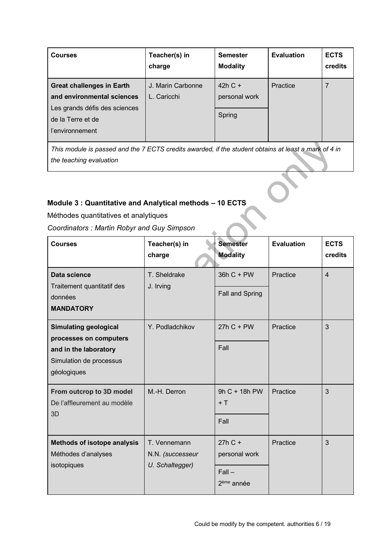| <b>Courses</b>                                                                                                                          | Teacher(s) in<br>charge          | <b>Semester</b><br><b>Modality</b>  | <b>Evaluation</b> | <b>ECTS</b><br>credits |
|-----------------------------------------------------------------------------------------------------------------------------------------|----------------------------------|-------------------------------------|-------------------|------------------------|
| <b>Great challenges in Earth</b><br>and environmental sciences<br>Les grands défis des sciences<br>de la Terre et de<br>l'environnement | J. Marin Carbonne<br>L. Caricchi | $42hC +$<br>personal work<br>Spring | Practice          |                        |

*This module is passed and the 7 ECTS credits awarded, if the student obtains at least a mark of 4 in the teaching evaluation*

#### **Module 3 : Quantitative and Analytical methods – 10 ECTS**

Méthodes quantitatives et analytiques

| Coordinators: Martin Robyr and Guy Simpson |  |  |  |  |
|--------------------------------------------|--|--|--|--|
|--------------------------------------------|--|--|--|--|

| <b>Courses</b>                                                                                                            | Teacher(s) in<br>charge                             | <b>Semester</b><br><b>Modality</b>                              | <b>Evaluation</b> | <b>ECTS</b><br>credits |
|---------------------------------------------------------------------------------------------------------------------------|-----------------------------------------------------|-----------------------------------------------------------------|-------------------|------------------------|
| Data science<br>Traitement quantitatif des<br>données<br><b>MANDATORY</b>                                                 | T. Sheldrake<br>J. Irving                           | 36h C + PW<br>Fall and Spring                                   | Practice          | $\overline{4}$         |
| <b>Simulating geological</b><br>processes on computers<br>and in the laboratory<br>Simulation de processus<br>géologiques | Y. Podladchikov                                     | $27hC + PW$<br>Fall                                             | Practice          | 3                      |
| From outcrop to 3D model<br>De l'affleurement au modèle<br>3D                                                             | M.-H. Derron                                        | 9h C + 18h PW<br>$+T$<br>Fall                                   | Practice          | 3                      |
| <b>Methods of isotope analysis</b><br>Méthodes d'analyses<br>isotopiques                                                  | T. Vennemann<br>N.N. (successeur<br>U. Schaltegger) | $27hC +$<br>personal work<br>$Fall -$<br>2 <sup>ème</sup> année | Practice          | 3                      |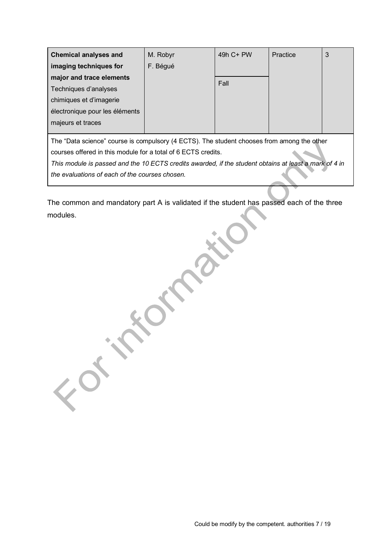| <b>Chemical analyses and</b>   | M. Robyr | 49h C+ PW | Practice | 3 |
|--------------------------------|----------|-----------|----------|---|
| imaging techniques for         | F. Bégué |           |          |   |
| major and trace elements       |          |           |          |   |
| Techniques d'analyses          |          | Fall      |          |   |
| chimiques et d'imagerie        |          |           |          |   |
| électronique pour les éléments |          |           |          |   |
| majeurs et traces              |          |           |          |   |
|                                |          |           |          |   |

The "Data science" course is compulsory (4 ECTS). The student chooses from among the other courses offered in this module for a total of 6 ECTS credits.

*This module is passed and the 10 ECTS credits awarded, if the student obtains at least a mark of 4 in the evaluations of each of the courses chosen.*

The common and mandatory part A is validated if the student has passed each of the three modules.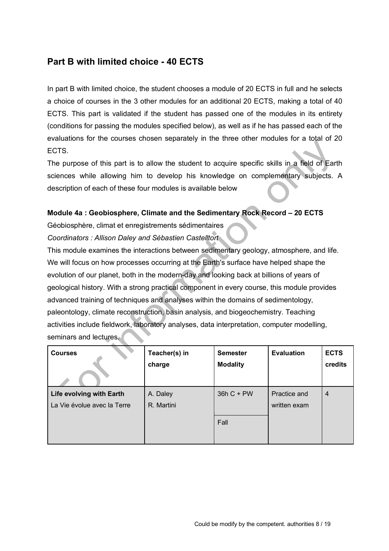### **Part B with limited choice - 40 ECTS**

In part B with limited choice, the student chooses a module of 20 ECTS in full and he selects a choice of courses in the 3 other modules for an additional 20 ECTS, making a total of 40 ECTS. This part is validated if the student has passed one of the modules in its entirety (conditions for passing the modules specified below), as well as if he has passed each of the evaluations for the courses chosen separately in the three other modules for a total of 20 ECTS.

The purpose of this part is to allow the student to acquire specific skills in a field of Earth sciences while allowing him to develop his knowledge on complementary subjects. A description of each of these four modules is available below

#### **Module 4a : Geobiosphere, Climate and the Sedimentary Rock Record – 20 ECTS**

Géobiosphère, climat et enregistrements sédimentaires *Coordinators : Allison Daley and Sébastien Castelltort*

This module examines the interactions between sedimentary geology, atmosphere, and life. We will focus on how processes occurring at the Earth's surface have helped shape the evolution of our planet, both in the modern-day and looking back at billions of years of geological history. With a strong practical component in every course, this module provides advanced training of techniques and analyses within the domains of sedimentology, paleontology, climate reconstruction, basin analysis, and biogeochemistry. Teaching activities include fieldwork, laboratory analyses, data interpretation, computer modelling, seminars and lectures.

| <b>Courses</b>                  | Teacher(s) in<br>charge | <b>Semester</b><br><b>Modality</b> | <b>Evaluation</b> | <b>ECTS</b><br>credits |
|---------------------------------|-------------------------|------------------------------------|-------------------|------------------------|
|                                 |                         |                                    |                   |                        |
| <b>Life evolving with Earth</b> | A. Daley                | 36h C + PW                         | Practice and      | $\overline{4}$         |
| La Vie évolue avec la Terre     | R. Martini              |                                    | written exam      |                        |
|                                 |                         | Fall                               |                   |                        |
|                                 |                         |                                    |                   |                        |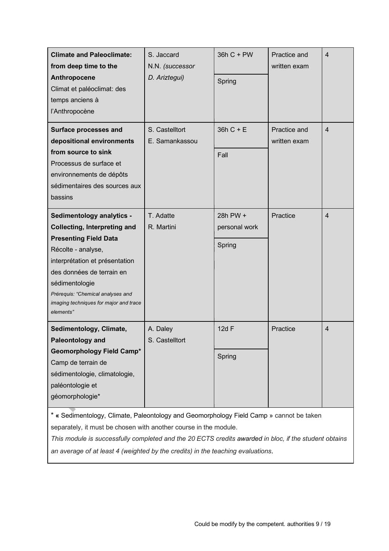| <b>Climate and Paleoclimate:</b><br>from deep time to the<br>Anthropocene<br>Climat et paléoclimat: des<br>temps anciens à<br>l'Anthropocène                                                                                                                                                               | S. Jaccard<br>N.N. (successor<br>D. Ariztegui) | 36h C + PW<br>Spring                | Practice and<br>written exam | 4                       |
|------------------------------------------------------------------------------------------------------------------------------------------------------------------------------------------------------------------------------------------------------------------------------------------------------------|------------------------------------------------|-------------------------------------|------------------------------|-------------------------|
| <b>Surface processes and</b><br>depositional environments<br>from source to sink<br>Processus de surface et<br>environnements de dépôts<br>sédimentaires des sources aux<br>bassins                                                                                                                        | S. Castelltort<br>E. Samankassou               | $36hC + E$<br>Fall                  | Practice and<br>written exam | 4                       |
| <b>Sedimentology analytics -</b><br><b>Collecting, Interpreting and</b><br><b>Presenting Field Data</b><br>Récolte - analyse,<br>interprétation et présentation<br>des données de terrain en<br>sédimentologie<br>Prérequis: "Chemical analyses and<br>imaging techniques for major and trace<br>elements" | T. Adatte<br>R. Martini                        | 28h PW +<br>personal work<br>Spring | Practice                     | $\overline{\mathbf{4}}$ |
| Sedimentology, Climate,<br><b>Paleontology and</b><br><b>Geomorphology Field Camp*</b><br>Camp de terrain de<br>sédimentologie, climatologie,<br>paléontologie et<br>géomorphologie*                                                                                                                       | A. Daley<br>S. Castelltort                     | 12d F<br>Spring                     | Practice                     | 4                       |

\* **«** Sedimentology, Climate, Paleontology and Geomorphology Field Camp » cannot be taken separately, it must be chosen with another course in the module.

*This module is successfully completed and the 20 ECTS credits awarded in bloc, if the student obtains an average of at least 4 (weighted by the credits) in the teaching evaluations*.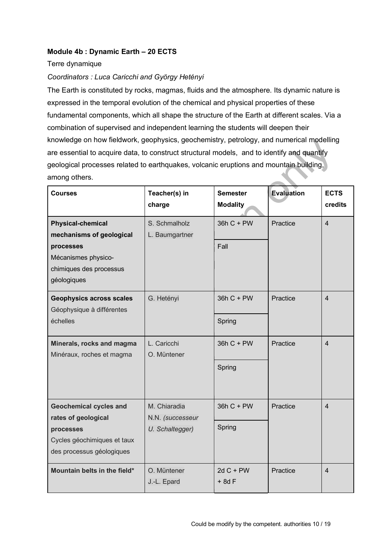#### **Module 4b : Dynamic Earth – 20 ECTS**

#### Terre dynamique

#### *Coordinators : Luca Caricchi and György Hetényi*

The Earth is constituted by rocks, magmas, fluids and the atmosphere. Its dynamic nature is expressed in the temporal evolution of the chemical and physical properties of these fundamental components, which all shape the structure of the Earth at different scales. Via a combination of supervised and independent learning the students will deepen their knowledge on how fieldwork, geophysics, geochemistry, petrology, and numerical modelling are essential to acquire data, to construct structural models, and to identify and quantify geological processes related to earthquakes, volcanic eruptions and mountain building, among others.

| <b>Courses</b>                                                                                                                     | Teacher(s) in<br>charge                             | <b>Semester</b><br><b>Modality</b> | <b>Evaluation</b> | <b>ECTS</b><br>credits |
|------------------------------------------------------------------------------------------------------------------------------------|-----------------------------------------------------|------------------------------------|-------------------|------------------------|
| <b>Physical-chemical</b><br>mechanisms of geological<br>processes<br>Mécanismes physico-<br>chimiques des processus<br>géologiques | S. Schmalholz<br>L. Baumgartner                     | 36h C + PW<br>Fall                 | Practice          | $\overline{4}$         |
| <b>Geophysics across scales</b><br>Géophysique à différentes<br>échelles                                                           | G. Hetényi                                          | 36h C + PW<br>Spring               | Practice          | $\overline{4}$         |
| Minerals, rocks and magma<br>Minéraux, roches et magma                                                                             | L. Caricchi<br>O. Müntener                          | 36h C + PW<br>Spring               | Practice          | 4                      |
| <b>Geochemical cycles and</b><br>rates of geological<br>processes<br>Cycles géochimiques et taux<br>des processus géologiques      | M. Chiaradia<br>N.N. (successeur<br>U. Schaltegger) | 36h C + PW<br>Spring               | Practice          | 4                      |
| Mountain belts in the field*                                                                                                       | O. Müntener<br>J.-L. Epard                          | $2dC + PW$<br>$+8dF$               | Practice          | $\overline{4}$         |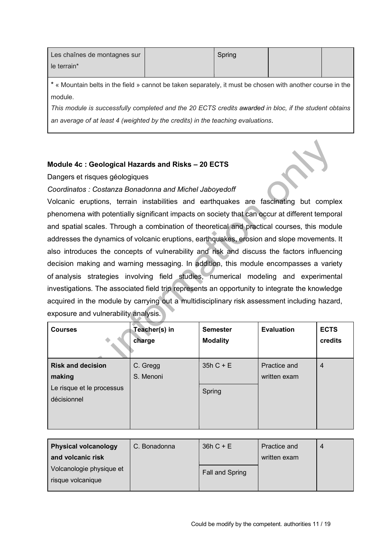| Les chaînes de montagnes sur<br>le terrain*                                                                |  | Spring |  |  |  |
|------------------------------------------------------------------------------------------------------------|--|--------|--|--|--|
| * « Mountain belts in the field » cannot be taken separately, it must be chosen with another course in the |  |        |  |  |  |
| module.                                                                                                    |  |        |  |  |  |

*This module is successfully completed and the 20 ECTS credits awarded in bloc, if the student obtains an average of at least 4 (weighted by the credits) in the teaching evaluations*.

#### **Module 4c : Geological Hazards and Risks – 20 ECTS**

Dangers et risques géologiques

*Coordinatos : Costanza Bonadonna and Michel Jaboyedoff*

Volcanic eruptions, terrain instabilities and earthquakes are fascinating but complex phenomena with potentially significant impacts on society that can occur at different temporal and spatial scales. Through a combination of theoretical and practical courses, this module addresses the dynamics of volcanic eruptions, earthquakes, erosion and slope movements. It also introduces the concepts of vulnerability and risk and discuss the factors influencing decision making and warning messaging. In addition, this module encompasses a variety of analysis strategies involving field studies, numerical modeling and experimental investigations. The associated field trip represents an opportunity to integrate the knowledge acquired in the module by carrying out a multidisciplinary risk assessment including hazard, exposure and vulnerability analysis.

| <b>Courses</b>                           | Teacher(s) in<br>charge | <b>Semester</b><br><b>Modality</b> | <b>Evaluation</b>            | <b>ECTS</b><br>credits |
|------------------------------------------|-------------------------|------------------------------------|------------------------------|------------------------|
| <b>Risk and decision</b><br>making       | C. Gregg<br>S. Menoni   | $35hC + E$                         | Practice and<br>written exam | $\overline{4}$         |
| Le risque et le processus<br>décisionnel |                         | Spring                             |                              |                        |

| <b>Physical volcanology</b>                   | C. Bonadonna | $36h C + E$     | Practice and |  |
|-----------------------------------------------|--------------|-----------------|--------------|--|
| and volcanic risk                             |              |                 | written exam |  |
| Volcanologie physique et<br>risque volcanique |              | Fall and Spring |              |  |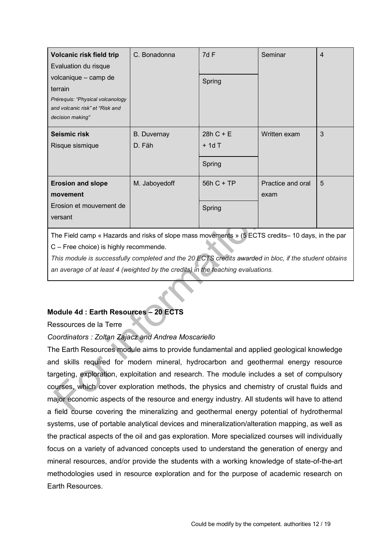| <b>Volcanic risk field trip</b><br>Evaluation du risque<br>volcanique - camp de<br>terrain<br>Prérequis: "Physical volcanology<br>and volcanic risk" et "Risk and<br>decision making" | C. Bonadonna                 | 7d F<br>Spring                 | Seminar                   | $\overline{4}$ |
|---------------------------------------------------------------------------------------------------------------------------------------------------------------------------------------|------------------------------|--------------------------------|---------------------------|----------------|
| <b>Seismic risk</b><br>Risque sismique                                                                                                                                                | <b>B.</b> Duvernay<br>D. Fäh | $28hC + E$<br>$+1dT$<br>Spring | Written exam              | 3              |
| <b>Erosion and slope</b><br>movement<br>Erosion et mouvement de<br>versant                                                                                                            | M. Jaboyedoff                | 56h C + TP<br>Spring           | Practice and oral<br>exam | 5              |

The Field camp « Hazards and risks of slope mass movements » (5 ECTS credits– 10 days, in the par C – Free choice) is highly recommende.

*This module is successfully completed and the 20 ECTS credits awarded in bloc, if the student obtains an average of at least 4 (weighted by the credits) in the teaching evaluations*.

#### **Module 4d : Earth Resources – 20 ECTS**

Ressources de la Terre

#### *Coordinators : Zoltan Zajacz and Andrea Moscariello*

The Earth Resources module aims to provide fundamental and applied geological knowledge and skills required for modern mineral, hydrocarbon and geothermal energy resource targeting, exploration, exploitation and research. The module includes a set of compulsory courses, which cover exploration methods, the physics and chemistry of crustal fluids and major economic aspects of the resource and energy industry. All students will have to attend a field course covering the mineralizing and geothermal energy potential of hydrothermal systems, use of portable analytical devices and mineralization/alteration mapping, as well as the practical aspects of the oil and gas exploration. More specialized courses will individually focus on a variety of advanced concepts used to understand the generation of energy and mineral resources, and/or provide the students with a working knowledge of state-of-the-art methodologies used in resource exploration and for the purpose of academic research on Earth Resources.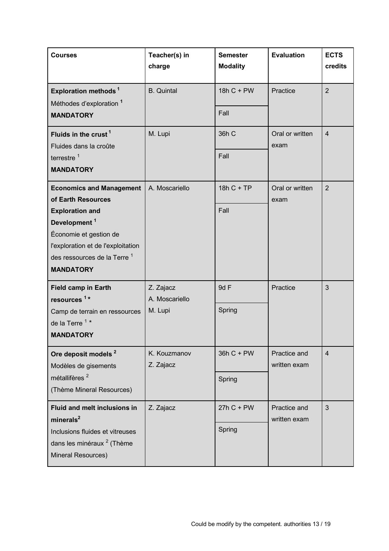| <b>Courses</b>                                                                                                                                                                                                                             | Teacher(s) in<br>charge                | <b>Semester</b><br><b>Modality</b> | <b>Evaluation</b>            | <b>ECTS</b><br>credits |
|--------------------------------------------------------------------------------------------------------------------------------------------------------------------------------------------------------------------------------------------|----------------------------------------|------------------------------------|------------------------------|------------------------|
| Exploration methods <sup>1</sup><br>Méthodes d'exploration <sup>1</sup><br><b>MANDATORY</b>                                                                                                                                                | <b>B.</b> Quintal                      | 18h C + PW<br>Fall                 | Practice                     | $\overline{2}$         |
| Fluids in the crust <sup>1</sup><br>Fluides dans la croûte<br>terrestre <sup>1</sup><br><b>MANDATORY</b>                                                                                                                                   | M. Lupi                                | 36h C<br>Fall                      | Oral or written<br>exam      | $\overline{4}$         |
| <b>Economics and Management</b><br>of Earth Resources<br><b>Exploration and</b><br>Development <sup>1</sup><br>Économie et gestion de<br>l'exploration et de l'exploitation<br>des ressources de la Terre <sup>1</sup><br><b>MANDATORY</b> | A. Moscariello                         | 18h C + TP<br>Fall                 | Oral or written<br>exam      | $\overline{2}$         |
| <b>Field camp in Earth</b><br>resources <sup>1*</sup><br>Camp de terrain en ressources<br>de la Terre <sup>1*</sup><br><b>MANDATORY</b>                                                                                                    | Z. Zajacz<br>A. Moscariello<br>M. Lupi | 9d F<br>Spring                     | Practice                     | 3                      |
| Ore deposit models <sup>2</sup><br>Modèles de gisements<br>métallifères <sup>2</sup><br>(Thème Mineral Resources)                                                                                                                          | K. Kouzmanov<br>Z. Zajacz              | 36h C + PW<br>Spring               | Practice and<br>written exam | 4                      |
| <b>Fluid and melt inclusions in</b><br>minerals <sup>2</sup><br>Inclusions fluides et vitreuses<br>dans les minéraux <sup>2</sup> (Thème<br>Mineral Resources)                                                                             | Z. Zajacz                              | $27hC + PW$<br>Spring              | Practice and<br>written exam | 3                      |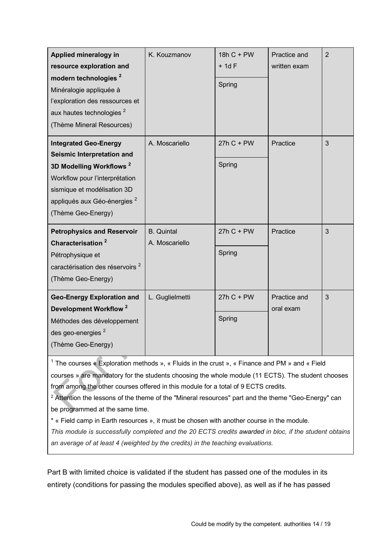| Applied mineralogy in<br>resource exploration and<br>modern technologies <sup>2</sup><br>Minéralogie appliquée à<br>l'exploration des ressources et<br>aux hautes technologies <sup>2</sup><br>(Thème Mineral Resources)            | K. Kouzmanov                        | 18h C + PW<br>$+1dF$<br>Spring | Practice and<br>written exam | $\overline{2}$ |
|-------------------------------------------------------------------------------------------------------------------------------------------------------------------------------------------------------------------------------------|-------------------------------------|--------------------------------|------------------------------|----------------|
| <b>Integrated Geo-Energy</b><br>Seismic Interpretation and<br>3D Modelling Workflows <sup>2</sup><br>Workflow pour l'interprétation<br>sismique et modélisation 3D<br>appliqués aux Géo-énergies <sup>2</sup><br>(Thème Geo-Energy) | A. Moscariello                      | $27hC + PW$<br>Spring          | Practice                     | 3              |
| <b>Petrophysics and Reservoir</b><br>Characterisation <sup>2</sup><br>Pétrophysique et<br>caractérisation des réservoirs <sup>2</sup><br>(Thème Geo-Energy)                                                                         | <b>B.</b> Quintal<br>A. Moscariello | $27hC + PW$<br>Spring          | Practice                     | 3              |
| <b>Geo-Energy Exploration and</b><br>Development Workflow <sup>2</sup><br>Méthodes des développement<br>des geo-energies <sup>2</sup><br>(Thème Geo-Energy)                                                                         | L. Guglielmetti                     | $27hC + PW$<br>Spring          | Practice and<br>oral exam    | 3              |

<sup>1</sup> The courses « Exploration methods », « Fluids in the crust », « Finance and PM » and « Field courses » are mandatory for the students choosing the whole module (11 ECTS). The student chooses from among the other courses offered in this module for a total of 9 ECTS credits.

<sup>2</sup> Attention the lessons of the theme of the "Mineral resources" part and the theme "Geo-Energy" can be programmed at the same time.

\* « Field camp in Earth resources », it must be chosen with another course in the module.

*This module is successfully completed and the 20 ECTS credits awarded in bloc, if the student obtains an average of at least 4 (weighted by the credits) in the teaching evaluations.*

Part B with limited choice is validated if the student has passed one of the modules in its entirety (conditions for passing the modules specified above), as well as if he has passed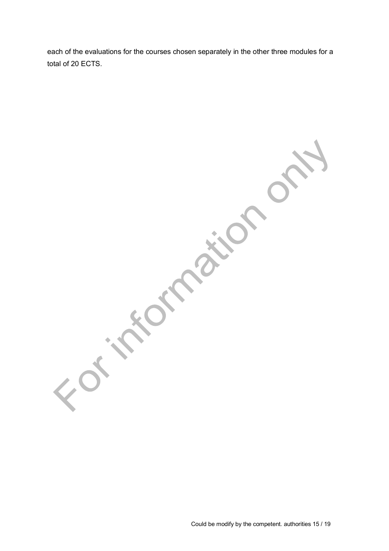each of the evaluations for the courses chosen separately in the other three modules for a total of 20 ECTS.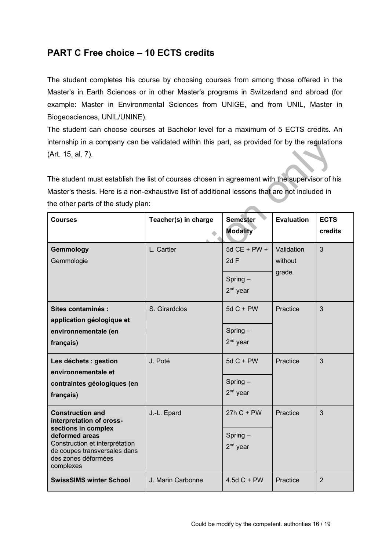## **PART C Free choice – 10 ECTS credits**

The student completes his course by choosing courses from among those offered in the Master's in Earth Sciences or in other Master's programs in Switzerland and abroad (for example: Master in Environmental Sciences from UNIGE, and from UNIL, Master in Biogeosciences, UNIL/UNINE).

The student can choose courses at Bachelor level for a maximum of 5 ECTS credits. An internship in a company can be validated within this part, as provided for by the regulations (Art. 15, al. 7).

The student must establish the list of courses chosen in agreement with the supervisor of his Master's thesis. Here is a non-exhaustive list of additional lessons that are not included in the other parts of the study plan: **AND IN** 

| <b>Courses</b>                                                                                                                                                                                     | Teacher(s) in charge | <b>Semester</b><br><b>Modality</b>                          | <b>Evaluation</b>              | <b>ECTS</b><br>credits |
|----------------------------------------------------------------------------------------------------------------------------------------------------------------------------------------------------|----------------------|-------------------------------------------------------------|--------------------------------|------------------------|
| Gemmology<br>Gemmologie                                                                                                                                                                            | L. Cartier           | 5d $CE + PW +$<br>2dF<br>$Spring -$<br>2 <sup>nd</sup> year | Validation<br>without<br>grade | 3                      |
| Sites contaminés :<br>application géologique et<br>environnementale (en<br>français)                                                                                                               | S. Girardclos        | $5dC + PW$<br>$Spring -$<br>$2nd$ year                      | Practice                       | 3                      |
| Les déchets : gestion<br>environnementale et<br>contraintes géologiques (en<br>français)                                                                                                           | J. Poté              | $5dC + PW$<br>$Spring -$<br>$2nd$ year                      | Practice                       | 3                      |
| <b>Construction and</b><br>interpretation of cross-<br>sections in complex<br>deformed areas<br>Construction et interprétation<br>de coupes transversales dans<br>des zones déformées<br>complexes | J.-L. Epard          | $27hC + PW$<br>$Spring -$<br>$2nd$ year                     | Practice                       | 3                      |
| <b>SwissSIMS winter School</b>                                                                                                                                                                     | J. Marin Carbonne    | $4.5d C + PW$                                               | Practice                       | $\overline{2}$         |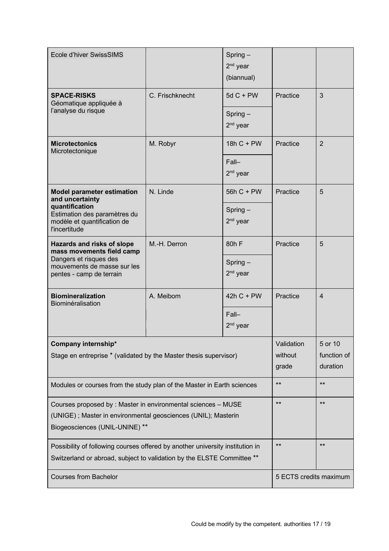| Ecole d'hiver SwissSIMS                                                                                                                                          |                                | $Spring -$<br>$2nd$ year<br>(biannual) |                        |                |
|------------------------------------------------------------------------------------------------------------------------------------------------------------------|--------------------------------|----------------------------------------|------------------------|----------------|
| <b>SPACE-RISKS</b><br>Géomatique appliquée à<br>l'analyse du risque                                                                                              | C. Frischknecht                | $5dC + PW$<br>$Spring -$<br>$2nd$ year | Practice               | 3              |
| <b>Microtectonics</b><br>Microtectonique                                                                                                                         | M. Robyr                       | 18h $C$ + PW<br>$Fall-$<br>$2nd$ year  | Practice               | 2              |
| <b>Model parameter estimation</b><br>and uncertainty<br>quantification<br>Estimation des paramètres du<br>modèle et quantification de<br>l'incertitude           | N. Linde                       | 56h C + PW<br>$Spring -$<br>$2nd$ year | Practice               | 5              |
| <b>Hazards and risks of slope</b><br>mass movements field camp<br>Dangers et risques des<br>mouvements de masse sur les<br>pentes - camp de terrain              | M.-H. Derron                   | 80h F<br>$Spring -$<br>$2nd$ year      | Practice               | 5              |
| <b>Biomineralization</b><br>Biominéralisation                                                                                                                    | A. Meibom                      | $42hC + PW$<br>$Fall-$<br>$2nd$ year   | Practice               | $\overline{4}$ |
| Company internship*<br>Stage en entreprise * (validated by the Master thesis supervisor)                                                                         | Validation<br>without<br>grade | 5 or 10<br>function of<br>duration     |                        |                |
| Modules or courses from the study plan of the Master in Earth sciences                                                                                           |                                |                                        | $***$                  | $***$          |
| Courses proposed by : Master in environmental sciences - MUSE<br>(UNIGE); Master in environmental geosciences (UNIL); Masterin<br>Biogeosciences (UNIL-UNINE) ** |                                |                                        | $***$                  | $***$          |
| Possibility of following courses offered by another university institution in<br>Switzerland or abroad, subject to validation by the ELSTE Committee **          |                                |                                        | $***$                  | $***$          |
| <b>Courses from Bachelor</b>                                                                                                                                     |                                |                                        | 5 ECTS credits maximum |                |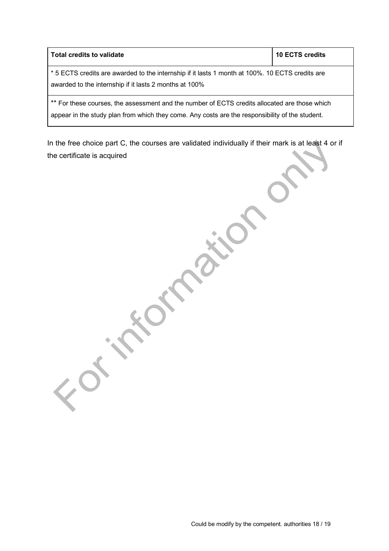| <b>Total credits to validate</b>                                                                                                                                                                 | <b>10 ECTS credits</b> |  |  |
|--------------------------------------------------------------------------------------------------------------------------------------------------------------------------------------------------|------------------------|--|--|
| *5 ECTS credits are awarded to the internship if it lasts 1 month at 100%. 10 ECTS credits are<br>awarded to the internship if it lasts 2 months at 100%                                         |                        |  |  |
| ** For these courses, the assessment and the number of ECTS credits allocated are those which<br>appear in the study plan from which they come. Any costs are the responsibility of the student. |                        |  |  |

In the free choice part C, the courses are validated individually if their mark is at least 4 or if the certificate is acquired